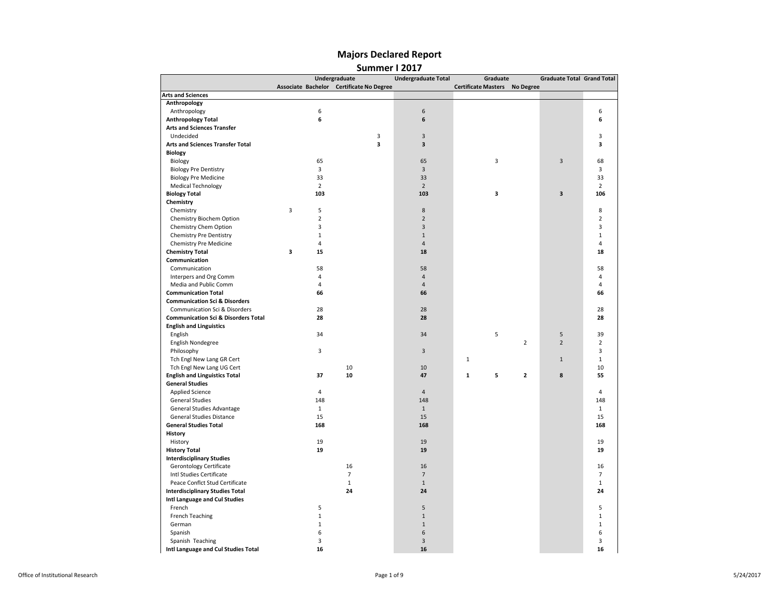|                                                |                | Undergraduate                            | <b>Undergraduate Total</b> | Graduate                             | <b>Graduate Total Grand Total</b> |                |
|------------------------------------------------|----------------|------------------------------------------|----------------------------|--------------------------------------|-----------------------------------|----------------|
|                                                |                | Associate Bachelor Certificate No Degree |                            | <b>Certificate Masters No Degree</b> |                                   |                |
| <b>Arts and Sciences</b>                       |                |                                          |                            |                                      |                                   |                |
| Anthropology                                   |                |                                          |                            |                                      |                                   |                |
| Anthropology                                   | 6              |                                          | 6                          |                                      |                                   | 6              |
| <b>Anthropology Total</b>                      | 6              |                                          | 6                          |                                      |                                   | 6              |
| <b>Arts and Sciences Transfer</b>              |                |                                          |                            |                                      |                                   |                |
| Undecided                                      |                | 3                                        | $\mathsf 3$                |                                      |                                   | 3              |
| Arts and Sciences Transfer Total               |                | 3                                        | $\overline{\mathbf{3}}$    |                                      |                                   | 3              |
| <b>Biology</b>                                 |                |                                          |                            |                                      |                                   |                |
| Biology                                        | 65             |                                          | 65                         | 3                                    | 3                                 | 68             |
| <b>Biology Pre Dentistry</b>                   | 3              |                                          | $\overline{3}$             |                                      |                                   | 3              |
| <b>Biology Pre Medicine</b>                    | 33             |                                          | 33                         |                                      |                                   | 33             |
| <b>Medical Technology</b>                      | $\overline{2}$ |                                          | $\overline{2}$             |                                      |                                   | $\overline{2}$ |
| <b>Biology Total</b>                           | 103            |                                          | 103                        | 3                                    | 3                                 | 106            |
| Chemistry                                      |                |                                          |                            |                                      |                                   |                |
| Chemistry                                      | 3<br>5         |                                          | 8                          |                                      |                                   | 8              |
| Chemistry Biochem Option                       | $\overline{2}$ |                                          | $\overline{2}$             |                                      |                                   | $\overline{2}$ |
| Chemistry Chem Option                          | 3              |                                          | 3                          |                                      |                                   | 3              |
| Chemistry Pre Dentistry                        | $\mathbf{1}$   |                                          | $\mathbf{1}$               |                                      |                                   | $\mathbf{1}$   |
| Chemistry Pre Medicine                         | $\overline{4}$ |                                          | $\overline{4}$             |                                      |                                   | $\overline{4}$ |
| <b>Chemistry Total</b>                         | 3<br>15        |                                          | 18                         |                                      |                                   | 18             |
| Communication                                  |                |                                          |                            |                                      |                                   |                |
| Communication                                  | 58             |                                          | 58                         |                                      |                                   | 58             |
| Interpers and Org Comm                         | $\overline{4}$ |                                          | $\overline{4}$             |                                      |                                   | $\overline{4}$ |
| Media and Public Comm                          | $\overline{4}$ |                                          | $\overline{4}$             |                                      |                                   | 4              |
| <b>Communication Total</b>                     | 66             |                                          | 66                         |                                      |                                   | 66             |
| <b>Communication Sci &amp; Disorders</b>       |                |                                          |                            |                                      |                                   |                |
| Communication Sci & Disorders                  | 28             |                                          | 28                         |                                      |                                   | 28             |
| <b>Communication Sci &amp; Disorders Total</b> | 28             |                                          | 28                         |                                      |                                   | 28             |
| <b>English and Linguistics</b>                 |                |                                          |                            |                                      |                                   |                |
| English                                        | 34             |                                          | 34                         | 5                                    | 5                                 | 39             |
| English Nondegree                              |                |                                          |                            |                                      | $\overline{2}$<br>$\overline{2}$  | $\overline{2}$ |
| Philosophy                                     | $\overline{3}$ |                                          | 3                          |                                      |                                   | $\overline{3}$ |
| Tch Engl New Lang GR Cert                      |                |                                          |                            | $\mathbf{1}$                         | $\mathbf{1}$                      | $\mathbf{1}$   |
| Tch Engl New Lang UG Cert                      |                | 10                                       | 10                         |                                      |                                   | 10             |
| <b>English and Linguistics Total</b>           | 37             | 10                                       | 47                         | $\mathbf{1}$<br>5                    | $\overline{2}$<br>8               | 55             |
| <b>General Studies</b>                         |                |                                          |                            |                                      |                                   |                |
| <b>Applied Science</b>                         | $\overline{4}$ |                                          | $\overline{4}$             |                                      |                                   | $\overline{a}$ |
| <b>General Studies</b>                         | 148            |                                          | 148                        |                                      |                                   | 148            |
| General Studies Advantage                      | $\mathbf 1$    |                                          | $\,1\,$                    |                                      |                                   | $\mathbf{1}$   |
| General Studies Distance                       | 15             |                                          | 15                         |                                      |                                   | 15             |
| <b>General Studies Total</b>                   | 168            |                                          | 168                        |                                      |                                   | 168            |
| History                                        |                |                                          |                            |                                      |                                   |                |
| History                                        | 19             |                                          | 19                         |                                      |                                   | 19             |
| <b>History Total</b>                           | 19             |                                          | 19                         |                                      |                                   | 19             |
| <b>Interdisciplinary Studies</b>               |                |                                          |                            |                                      |                                   |                |
| Gerontology Certificate                        |                | 16                                       | 16                         |                                      |                                   | 16             |
| Intl Studies Certificate                       |                | $\overline{7}$                           | $\overline{7}$             |                                      |                                   | $\overline{7}$ |
| Peace Conflct Stud Certificate                 |                | $1\,$                                    | $\mathbf 1$                |                                      |                                   | $\mathbf{1}$   |
|                                                |                | 24                                       |                            |                                      |                                   |                |
| <b>Interdisciplinary Studies Total</b>         |                |                                          | 24                         |                                      |                                   | 24             |
| Intl Language and Cul Studies<br>French        | 5              |                                          | 5                          |                                      |                                   | 5              |
|                                                | $\mathbf 1$    |                                          | $\mathbf{1}$               |                                      |                                   |                |
| French Teaching                                |                |                                          |                            |                                      |                                   | $\mathbf{1}$   |
| German                                         | $\mathbf{1}$   |                                          | $\mathbf 1$                |                                      |                                   | $\mathbf{1}$   |
| Spanish                                        | 6              |                                          | 6                          |                                      |                                   | 6              |
| Spanish Teaching                               | 3              |                                          | 3                          |                                      |                                   | 3              |
| Intl Language and Cul Studies Total            | 16             |                                          | 16                         |                                      |                                   | 16             |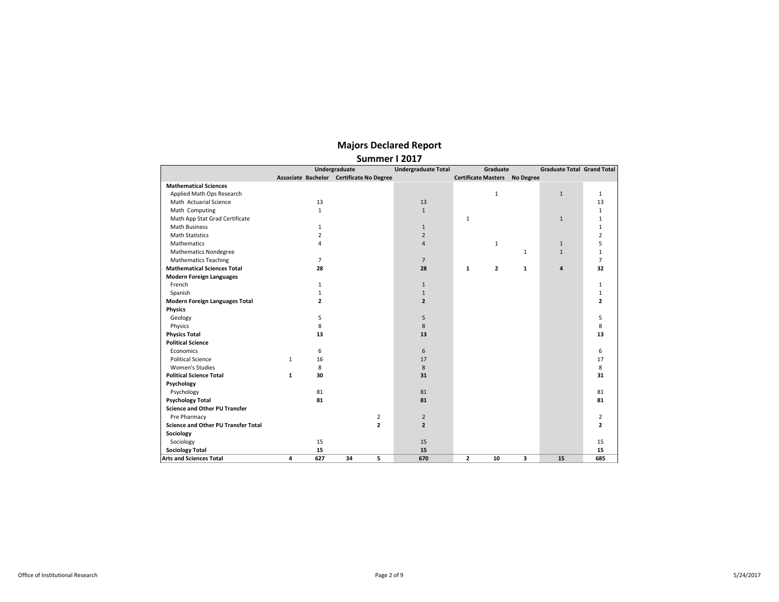|                                            | Undergraduate |                | <b>Undergraduate Total</b>               |                | Graduate                             | <b>Graduate Total Grand Total</b> |              |                |
|--------------------------------------------|---------------|----------------|------------------------------------------|----------------|--------------------------------------|-----------------------------------|--------------|----------------|
|                                            |               |                | Associate Bachelor Certificate No Degree |                | <b>Certificate Masters No Degree</b> |                                   |              |                |
| <b>Mathematical Sciences</b>               |               |                |                                          |                |                                      |                                   |              |                |
| Applied Math Ops Research                  |               |                |                                          |                |                                      | $\mathbf{1}$                      | $\mathbf{1}$ | $\mathbf{1}$   |
| Math Actuarial Science                     |               | 13             |                                          | 13             |                                      |                                   |              | 13             |
| Math Computing                             |               | $\mathbf{1}$   |                                          | $\mathbf{1}$   |                                      |                                   |              | $\mathbf{1}$   |
| Math App Stat Grad Certificate             |               |                |                                          |                | $\mathbf{1}$                         |                                   | $\mathbf{1}$ | $\mathbf{1}$   |
| <b>Math Business</b>                       |               | $\mathbf{1}$   |                                          | $\mathbf{1}$   |                                      |                                   |              | $\mathbf{1}$   |
| <b>Math Statistics</b>                     |               | 2              |                                          | $\overline{2}$ |                                      |                                   |              | $\overline{2}$ |
| <b>Mathematics</b>                         |               | 4              |                                          | $\overline{4}$ |                                      | $\mathbf{1}$                      | $\mathbf{1}$ | 5              |
| <b>Mathematics Nondegree</b>               |               |                |                                          |                |                                      | $\mathbf{1}$                      | $\mathbf{1}$ | $\mathbf{1}$   |
| <b>Mathematics Teaching</b>                |               | 7              |                                          | $\overline{7}$ |                                      |                                   |              | $\overline{7}$ |
| <b>Mathematical Sciences Total</b>         |               | 28             |                                          | 28             | 1                                    | $\mathbf{2}$<br>$\mathbf{1}$      | 4            | 32             |
| <b>Modern Foreign Languages</b>            |               |                |                                          |                |                                      |                                   |              |                |
| French                                     |               | $\mathbf{1}$   |                                          | $\mathbf{1}$   |                                      |                                   |              | $\mathbf{1}$   |
| Spanish                                    |               | $\mathbf{1}$   |                                          | $\mathbf{1}$   |                                      |                                   |              | $\mathbf{1}$   |
| <b>Modern Foreign Languages Total</b>      |               | $\overline{2}$ |                                          | $\overline{2}$ |                                      |                                   |              | $\overline{2}$ |
| <b>Physics</b>                             |               |                |                                          |                |                                      |                                   |              |                |
| Geology                                    |               | 5              |                                          | 5              |                                      |                                   |              | 5              |
| Physics                                    |               | 8              |                                          | 8              |                                      |                                   |              | 8              |
| <b>Physics Total</b>                       |               | 13             |                                          | 13             |                                      |                                   |              | 13             |
| <b>Political Science</b>                   |               |                |                                          |                |                                      |                                   |              |                |
| Economics                                  |               | 6              |                                          | 6              |                                      |                                   |              | 6              |
| <b>Political Science</b>                   | $\mathbf{1}$  | 16             |                                          | 17             |                                      |                                   |              | 17             |
| <b>Women's Studies</b>                     |               | 8              |                                          | 8              |                                      |                                   |              | 8              |
| <b>Political Science Total</b>             | $\mathbf{1}$  | 30             |                                          | 31             |                                      |                                   |              | 31             |
| Psychology                                 |               |                |                                          |                |                                      |                                   |              |                |
| Psychology                                 |               | 81             |                                          | 81             |                                      |                                   |              | 81             |
| <b>Psychology Total</b>                    |               | 81             |                                          | 81             |                                      |                                   |              | 81             |
| <b>Science and Other PU Transfer</b>       |               |                |                                          |                |                                      |                                   |              |                |
| Pre Pharmacy                               |               |                | 2                                        | $\overline{2}$ |                                      |                                   |              | 2              |
| <b>Science and Other PU Transfer Total</b> |               |                | $\overline{2}$                           | $\overline{2}$ |                                      |                                   |              | $\overline{2}$ |
| Sociology                                  |               |                |                                          |                |                                      |                                   |              |                |
| Sociology                                  |               | 15             |                                          | 15             |                                      |                                   |              | 15             |
| <b>Sociology Total</b>                     |               | 15             |                                          | 15             |                                      |                                   |              | 15             |
| <b>Arts and Sciences Total</b>             | 4             | 627            | 34<br>5                                  | 670            | $\overline{2}$                       | 3<br>10                           | 15           | 685            |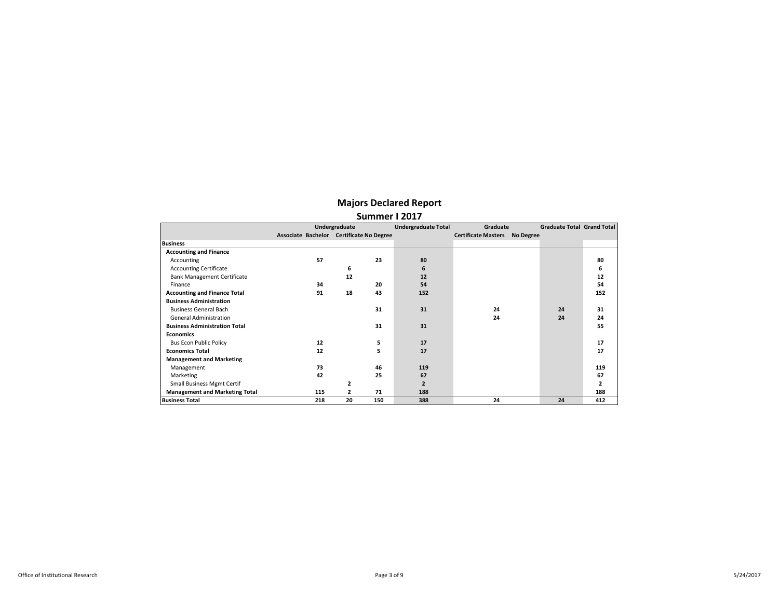|                                       | Undergraduate                            |     |              | <b>Undergraduate Total</b> | Graduate       | <b>Graduate Total Grand Total</b> |                  |    |                |
|---------------------------------------|------------------------------------------|-----|--------------|----------------------------|----------------|-----------------------------------|------------------|----|----------------|
|                                       | Associate Bachelor Certificate No Degree |     |              |                            |                | <b>Certificate Masters</b>        | <b>No Degree</b> |    |                |
| <b>Business</b>                       |                                          |     |              |                            |                |                                   |                  |    |                |
| <b>Accounting and Finance</b>         |                                          |     |              |                            |                |                                   |                  |    |                |
| Accounting                            |                                          | 57  |              | 23                         | 80             |                                   |                  |    | 80             |
| <b>Accounting Certificate</b>         |                                          |     | 6            |                            | 6              |                                   |                  |    | 6              |
| <b>Bank Management Certificate</b>    |                                          |     | 12           |                            | 12             |                                   |                  |    | 12             |
| Finance                               |                                          | 34  |              | 20                         | 54             |                                   |                  |    | 54             |
| <b>Accounting and Finance Total</b>   |                                          | 91  | 18           | 43                         | 152            |                                   |                  |    | 152            |
| <b>Business Administration</b>        |                                          |     |              |                            |                |                                   |                  |    |                |
| <b>Business General Bach</b>          |                                          |     |              | 31                         | 31             | 24                                |                  | 24 | 31             |
| <b>General Administration</b>         |                                          |     |              |                            |                | 24                                |                  | 24 | 24             |
| <b>Business Administration Total</b>  |                                          |     |              | 31                         | 31             |                                   |                  |    | 55             |
| <b>Economics</b>                      |                                          |     |              |                            |                |                                   |                  |    |                |
| <b>Bus Econ Public Policy</b>         |                                          | 12  |              | 5                          | 17             |                                   |                  |    | 17             |
| <b>Economics Total</b>                |                                          | 12  |              | 5                          | 17             |                                   |                  |    | 17             |
| <b>Management and Marketing</b>       |                                          |     |              |                            |                |                                   |                  |    |                |
| Management                            |                                          | 73  |              | 46                         | 119            |                                   |                  |    | 119            |
| Marketing                             |                                          | 42  |              | 25                         | 67             |                                   |                  |    | 67             |
| <b>Small Business Mgmt Certif</b>     |                                          |     | $\mathbf{z}$ |                            | $\overline{2}$ |                                   |                  |    | $\overline{2}$ |
| <b>Management and Marketing Total</b> |                                          | 115 | 2            | 71                         | 188            |                                   |                  |    | 188            |
| <b>Business Total</b>                 |                                          | 218 | 20           | 150                        | 388            | 24                                |                  | 24 | 412            |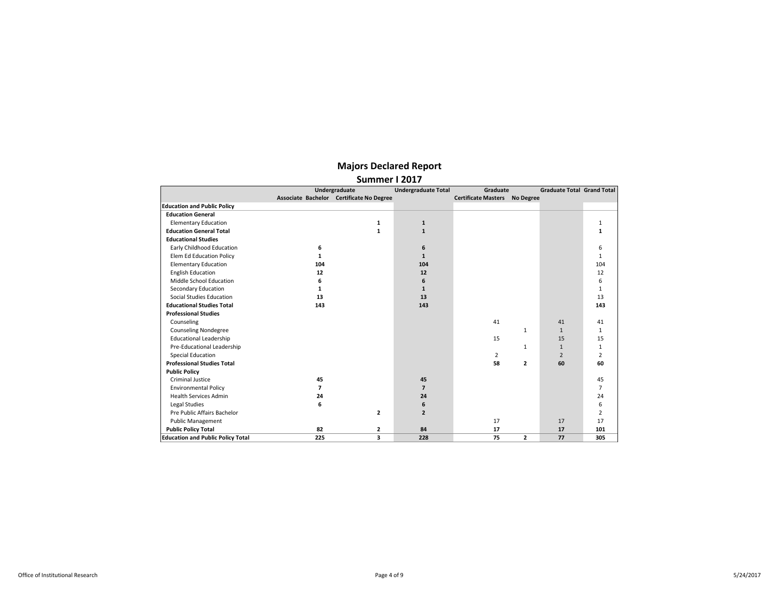|                                          |                          | Undergraduate                            | <b>Undergraduate Total</b> | Graduate                   |                | <b>Graduate Total Grand Total</b> |                |
|------------------------------------------|--------------------------|------------------------------------------|----------------------------|----------------------------|----------------|-----------------------------------|----------------|
|                                          |                          | Associate Bachelor Certificate No Degree |                            | <b>Certificate Masters</b> | No Degree      |                                   |                |
| <b>Education and Public Policy</b>       |                          |                                          |                            |                            |                |                                   |                |
| <b>Education General</b>                 |                          |                                          |                            |                            |                |                                   |                |
| <b>Elementary Education</b>              |                          | 1                                        | $\mathbf{1}$               |                            |                |                                   | 1              |
| <b>Education General Total</b>           |                          | $\mathbf{1}$                             | $\mathbf{1}$               |                            |                |                                   | $\mathbf{1}$   |
| <b>Educational Studies</b>               |                          |                                          |                            |                            |                |                                   |                |
| Early Childhood Education                | 6                        |                                          | 6                          |                            |                |                                   | 6              |
| Elem Ed Education Policy                 | 1                        |                                          | $\mathbf{1}$               |                            |                |                                   | $\mathbf{1}$   |
| <b>Elementary Education</b>              | 104                      |                                          | 104                        |                            |                |                                   | 104            |
| <b>English Education</b>                 | 12                       |                                          | 12                         |                            |                |                                   | 12             |
| Middle School Education                  | 6                        |                                          | 6                          |                            |                |                                   | 6              |
| Secondary Education                      | $\mathbf{1}$             |                                          | $\mathbf{1}$               |                            |                |                                   | $\mathbf{1}$   |
| Social Studies Education                 | 13                       |                                          | 13                         |                            |                |                                   | 13             |
| <b>Educational Studies Total</b>         | 143                      |                                          | 143                        |                            |                |                                   | 143            |
| <b>Professional Studies</b>              |                          |                                          |                            |                            |                |                                   |                |
| Counseling                               |                          |                                          |                            | 41                         |                | 41                                | 41             |
| <b>Counseling Nondegree</b>              |                          |                                          |                            |                            | $\mathbf{1}$   | $\mathbf{1}$                      | $\mathbf{1}$   |
| <b>Educational Leadership</b>            |                          |                                          |                            | 15                         |                | 15                                | 15             |
| Pre-Educational Leadership               |                          |                                          |                            |                            | $\mathbf{1}$   | $\mathbf{1}$                      | $\mathbf{1}$   |
| <b>Special Education</b>                 |                          |                                          |                            | $\overline{2}$             |                | $\overline{2}$                    | $\overline{2}$ |
| <b>Professional Studies Total</b>        |                          |                                          |                            | 58                         | $\mathbf{z}$   | 60                                | 60             |
| <b>Public Policy</b>                     |                          |                                          |                            |                            |                |                                   |                |
| Criminal Justice                         | 45                       |                                          | 45                         |                            |                |                                   | 45             |
| <b>Environmental Policy</b>              | $\overline{\phantom{a}}$ |                                          | $\overline{7}$             |                            |                |                                   | $\overline{7}$ |
| <b>Health Services Admin</b>             | 24                       |                                          | 24                         |                            |                |                                   | 24             |
| Legal Studies                            | 6                        |                                          | 6                          |                            |                |                                   | 6              |
| Pre Public Affairs Bachelor              |                          | $\overline{2}$                           | $\overline{2}$             |                            |                |                                   | 2              |
| <b>Public Management</b>                 |                          |                                          |                            | 17                         |                | 17                                | 17             |
| <b>Public Policy Total</b>               | 82                       | $\overline{2}$                           | 84                         | 17                         |                | 17                                | 101            |
| <b>Education and Public Policy Total</b> | 225                      | 3                                        | 228                        | 75                         | $\overline{2}$ | 77                                | 305            |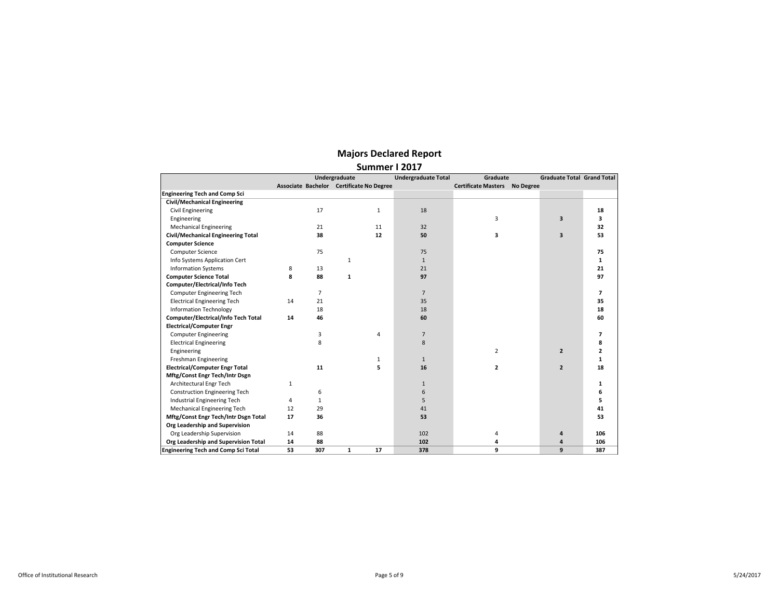|                                            | Undergraduate |                |                                          | <b>Undergraduate Total</b> | Graduate                             | <b>Graduate Total Grand Total</b> |                         |                |
|--------------------------------------------|---------------|----------------|------------------------------------------|----------------------------|--------------------------------------|-----------------------------------|-------------------------|----------------|
|                                            |               |                | Associate Bachelor Certificate No Degree |                            | <b>Certificate Masters No Degree</b> |                                   |                         |                |
| <b>Engineering Tech and Comp Sci</b>       |               |                |                                          |                            |                                      |                                   |                         |                |
| <b>Civil/Mechanical Engineering</b>        |               |                |                                          |                            |                                      |                                   |                         |                |
| <b>Civil Engineering</b>                   |               | 17             | $\mathbf{1}$                             | 18                         |                                      |                                   |                         | 18             |
| Engineering                                |               |                |                                          |                            | 3                                    |                                   | $\overline{\mathbf{3}}$ | 3              |
| <b>Mechanical Engineering</b>              |               | 21             | 11                                       | 32                         |                                      |                                   |                         | 32             |
| <b>Civil/Mechanical Engineering Total</b>  |               | 38             | 12                                       | 50                         | 3                                    |                                   | $\overline{\mathbf{3}}$ | 53             |
| <b>Computer Science</b>                    |               |                |                                          |                            |                                      |                                   |                         |                |
| Computer Science                           |               | 75             |                                          | 75                         |                                      |                                   |                         | 75             |
| Info Systems Application Cert              |               |                | $\mathbf{1}$                             | $\mathbf{1}$               |                                      |                                   |                         | 1              |
| <b>Information Systems</b>                 | 8             | 13             |                                          | 21                         |                                      |                                   |                         | 21             |
| <b>Computer Science Total</b>              | 8             | 88             | 1                                        | 97                         |                                      |                                   |                         | 97             |
| Computer/Electrical/Info Tech              |               |                |                                          |                            |                                      |                                   |                         |                |
| Computer Engineering Tech                  |               | $\overline{7}$ |                                          | $\overline{7}$             |                                      |                                   |                         | $\overline{ }$ |
| <b>Electrical Engineering Tech</b>         | 14            | 21             |                                          | 35                         |                                      |                                   |                         | 35             |
| <b>Information Technology</b>              |               | 18             |                                          | 18                         |                                      |                                   |                         | 18             |
| Computer/Electrical/Info Tech Total        | 14            | 46             |                                          | 60                         |                                      |                                   |                         | 60             |
| <b>Electrical/Computer Engr</b>            |               |                |                                          |                            |                                      |                                   |                         |                |
| <b>Computer Engineering</b>                |               | 3              | 4                                        | $\overline{7}$             |                                      |                                   |                         | $\overline{ }$ |
| <b>Electrical Engineering</b>              |               | 8              |                                          | 8                          |                                      |                                   |                         | 8              |
| Engineering                                |               |                |                                          |                            | $\overline{2}$                       |                                   | $\overline{2}$          | 2              |
| Freshman Engineering                       |               |                | $\mathbf{1}$                             | $\mathbf{1}$               |                                      |                                   |                         | $\mathbf{1}$   |
| <b>Electrical/Computer Engr Total</b>      |               | 11             | 5                                        | 16                         | $\overline{2}$                       |                                   | $\overline{2}$          | 18             |
| Mftg/Const Engr Tech/Intr Dsgn             |               |                |                                          |                            |                                      |                                   |                         |                |
| Architectural Engr Tech                    | $\mathbf{1}$  |                |                                          | $\mathbf{1}$               |                                      |                                   |                         | 1              |
| <b>Construction Engineering Tech</b>       |               | 6              |                                          | 6                          |                                      |                                   |                         | 6              |
| Industrial Engineering Tech                | 4             | $\mathbf{1}$   |                                          | 5                          |                                      |                                   |                         | 5              |
| Mechanical Engineering Tech                | 12            | 29             |                                          | 41                         |                                      |                                   |                         | 41             |
| Mftg/Const Engr Tech/Intr Dsgn Total       | 17            | 36             |                                          | 53                         |                                      |                                   |                         | 53             |
| Org Leadership and Supervision             |               |                |                                          |                            |                                      |                                   |                         |                |
| Org Leadership Supervision                 | 14            | 88             |                                          | 102                        | 4                                    |                                   | 4                       | 106            |
| Org Leadership and Supervision Total       | 14            | 88             |                                          | 102                        | 4                                    |                                   | 4                       | 106            |
| <b>Engineering Tech and Comp Sci Total</b> | 53            | 307            | 17<br>$\mathbf{1}$                       | 378                        | 9                                    |                                   | 9                       | 387            |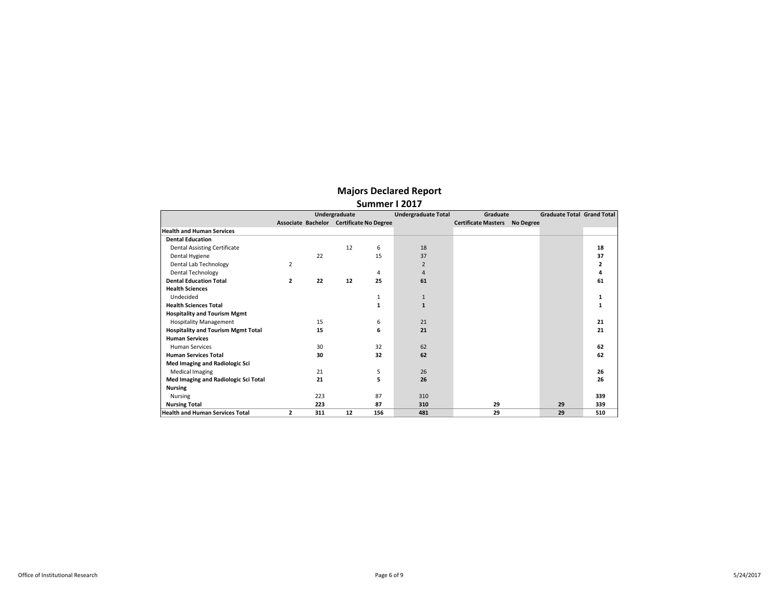| <b>Majors Declared Report</b> |  |
|-------------------------------|--|
|-------------------------------|--|

|                                           | Summer I 2017  |     |               |                                          |                |                            |           |                                   |     |  |  |
|-------------------------------------------|----------------|-----|---------------|------------------------------------------|----------------|----------------------------|-----------|-----------------------------------|-----|--|--|
|                                           |                |     | Undergraduate | <b>Undergraduate Total</b>               |                | Graduate                   |           | <b>Graduate Total Grand Total</b> |     |  |  |
|                                           |                |     |               | Associate Bachelor Certificate No Degree |                | <b>Certificate Masters</b> | No Degree |                                   |     |  |  |
| <b>Health and Human Services</b>          |                |     |               |                                          |                |                            |           |                                   |     |  |  |
| <b>Dental Education</b>                   |                |     |               |                                          |                |                            |           |                                   |     |  |  |
| <b>Dental Assisting Certificate</b>       |                |     | 12            | 6                                        | 18             |                            |           |                                   | 18  |  |  |
| Dental Hygiene                            |                | 22  |               | 15                                       | 37             |                            |           |                                   | 37  |  |  |
| Dental Lab Technology                     | $\overline{2}$ |     |               |                                          | $\overline{2}$ |                            |           |                                   |     |  |  |
| <b>Dental Technology</b>                  |                |     |               | 4                                        | 4              |                            |           |                                   |     |  |  |
| <b>Dental Education Total</b>             | 2              | 22  | 12            | 25                                       | 61             |                            |           |                                   | 61  |  |  |
| <b>Health Sciences</b>                    |                |     |               |                                          |                |                            |           |                                   |     |  |  |
| Undecided                                 |                |     |               | 1                                        | $\mathbf{1}$   |                            |           |                                   |     |  |  |
| <b>Health Sciences Total</b>              |                |     |               | 1                                        | $\mathbf{1}$   |                            |           |                                   |     |  |  |
| <b>Hospitality and Tourism Mgmt</b>       |                |     |               |                                          |                |                            |           |                                   |     |  |  |
| <b>Hospitality Management</b>             |                | 15  |               | 6                                        | 21             |                            |           |                                   | 21  |  |  |
| <b>Hospitality and Tourism Mgmt Total</b> |                | 15  |               | 6                                        | 21             |                            |           |                                   | 21  |  |  |
| <b>Human Services</b>                     |                |     |               |                                          |                |                            |           |                                   |     |  |  |
| <b>Human Services</b>                     |                | 30  |               | 32                                       | 62             |                            |           |                                   | 62  |  |  |
| <b>Human Services Total</b>               |                | 30  |               | 32                                       | 62             |                            |           |                                   | 62  |  |  |
| Med Imaging and Radiologic Sci            |                |     |               |                                          |                |                            |           |                                   |     |  |  |
| <b>Medical Imaging</b>                    |                | 21  |               | 5                                        | 26             |                            |           |                                   | 26  |  |  |
| Med Imaging and Radiologic Sci Total      |                | 21  |               | 5                                        | 26             |                            |           |                                   | 26  |  |  |
| <b>Nursing</b>                            |                |     |               |                                          |                |                            |           |                                   |     |  |  |
| <b>Nursing</b>                            |                | 223 |               | 87                                       | 310            |                            |           |                                   | 339 |  |  |
| <b>Nursing Total</b>                      |                | 223 |               | 87                                       | 310            | 29                         |           | 29                                | 339 |  |  |
| <b>Health and Human Services Total</b>    | $\overline{2}$ | 311 | 12            | 156                                      | 481            | 29                         |           | 29                                | 510 |  |  |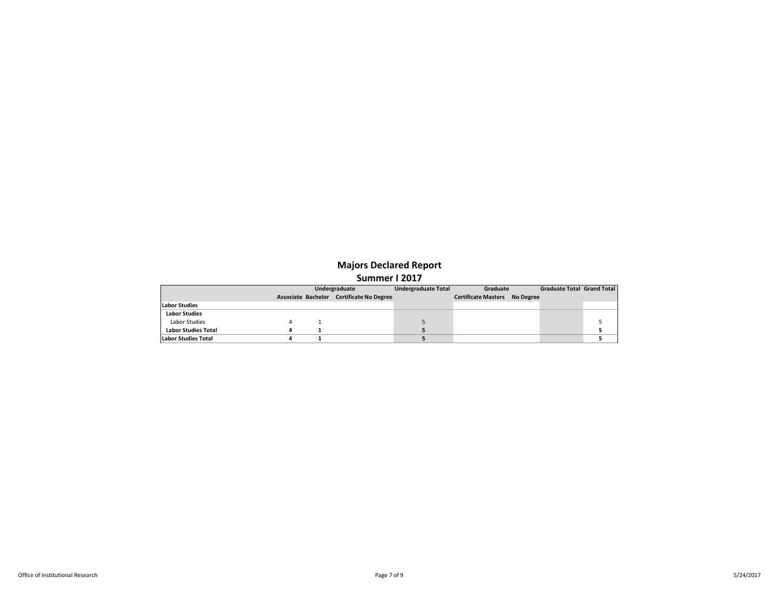|                            |  | Undergraduate                            | <b>Undergraduate Total</b> | Graduate                             |  | <b>Graduate Total Grand Total</b> |  |
|----------------------------|--|------------------------------------------|----------------------------|--------------------------------------|--|-----------------------------------|--|
|                            |  | Associate Bachelor Certificate No Degree |                            | <b>Certificate Masters No Degree</b> |  |                                   |  |
| <b>Labor Studies</b>       |  |                                          |                            |                                      |  |                                   |  |
| <b>Labor Studies</b>       |  |                                          |                            |                                      |  |                                   |  |
| Labor Studies              |  |                                          |                            |                                      |  |                                   |  |
| <b>Labor Studies Total</b> |  |                                          |                            |                                      |  |                                   |  |
| Labor Studies Total        |  |                                          |                            |                                      |  |                                   |  |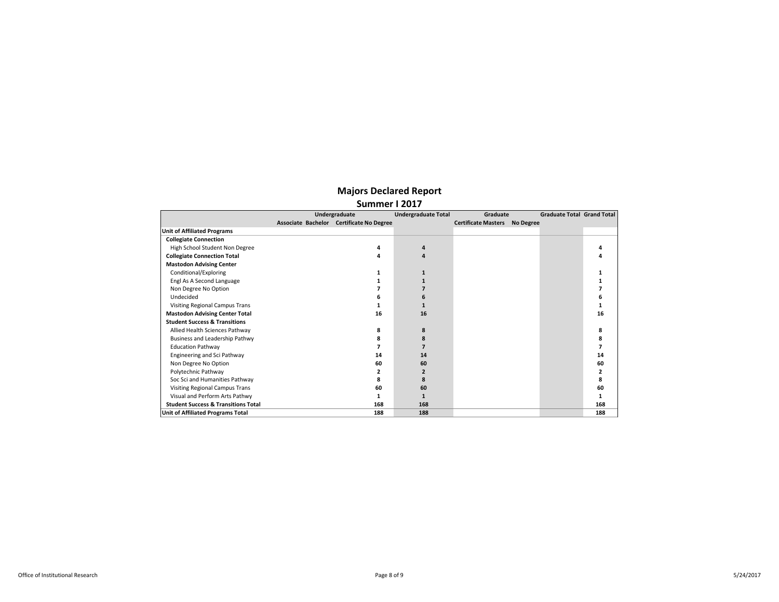|                                                | Undergraduate                            | <b>Undergraduate Total</b> | Graduate                   |                  | <b>Graduate Total Grand Total</b> |     |
|------------------------------------------------|------------------------------------------|----------------------------|----------------------------|------------------|-----------------------------------|-----|
|                                                | Associate Bachelor Certificate No Degree |                            | <b>Certificate Masters</b> | <b>No Degree</b> |                                   |     |
| <b>Unit of Affiliated Programs</b>             |                                          |                            |                            |                  |                                   |     |
| <b>Collegiate Connection</b>                   |                                          |                            |                            |                  |                                   |     |
| High School Student Non Degree                 | 4                                        | 4                          |                            |                  |                                   |     |
| <b>Collegiate Connection Total</b>             | 4                                        | 4                          |                            |                  |                                   |     |
| <b>Mastodon Advising Center</b>                |                                          |                            |                            |                  |                                   |     |
| Conditional/Exploring                          |                                          |                            |                            |                  |                                   |     |
| Engl As A Second Language                      |                                          |                            |                            |                  |                                   |     |
| Non Degree No Option                           |                                          |                            |                            |                  |                                   |     |
| Undecided                                      |                                          | 6                          |                            |                  |                                   |     |
| Visiting Regional Campus Trans                 |                                          |                            |                            |                  |                                   |     |
| <b>Mastodon Advising Center Total</b>          | 16                                       | 16                         |                            |                  |                                   | 16  |
| <b>Student Success &amp; Transitions</b>       |                                          |                            |                            |                  |                                   |     |
| Allied Health Sciences Pathway                 | 8                                        | 8                          |                            |                  |                                   | 8   |
| Business and Leadership Pathwy                 | 8                                        | 8                          |                            |                  |                                   | 8   |
| <b>Education Pathway</b>                       |                                          |                            |                            |                  |                                   |     |
| Engineering and Sci Pathway                    | 14                                       | 14                         |                            |                  |                                   | 14  |
| Non Degree No Option                           | 60                                       | 60                         |                            |                  |                                   | 60  |
| Polytechnic Pathway                            |                                          | 2                          |                            |                  |                                   |     |
| Soc Sci and Humanities Pathway                 | Զ                                        | 8                          |                            |                  |                                   | 8   |
| Visiting Regional Campus Trans                 | 60                                       | 60                         |                            |                  |                                   | 60  |
| Visual and Perform Arts Pathwy                 |                                          |                            |                            |                  |                                   |     |
| <b>Student Success &amp; Transitions Total</b> | 168                                      | 168                        |                            |                  |                                   | 168 |
| <b>Unit of Affiliated Programs Total</b>       | 188                                      | 188                        |                            |                  |                                   | 188 |